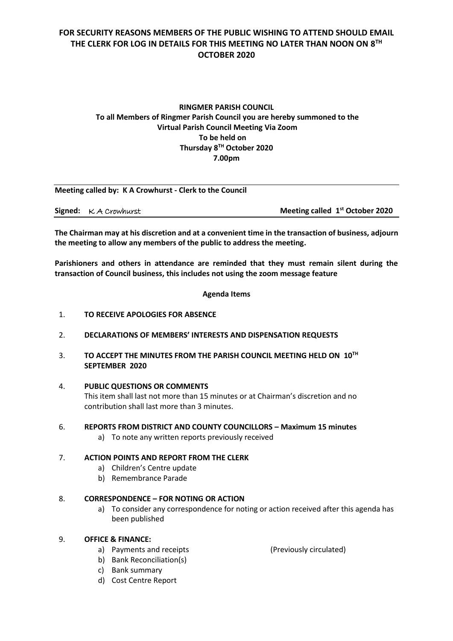# **FOR SECURITY REASONS MEMBERS OF THE PUBLIC WISHING TO ATTEND SHOULD EMAIL THE CLERK FOR LOG IN DETAILS FOR THIS MEETING NO LATER THAN NOON ON 8 TH OCTOBER 2020**

## **RINGMER PARISH COUNCIL To all Members of Ringmer Parish Council you are hereby summoned to the Virtual Parish Council Meeting Via Zoom To be held on Thursday 8 TH October 2020 7.00pm**

| Meeting called by: K A Crowhurst - Clerk to the Council |                                     |                                             |
|---------------------------------------------------------|-------------------------------------|---------------------------------------------|
|                                                         | <b>Signed:</b> $\kappa$ A Crowhurst | Meeting called 1 <sup>st</sup> October 2020 |

**The Chairman may at his discretion and at a convenient time in the transaction of business, adjourn the meeting to allow any members of the public to address the meeting.**

**Parishioners and others in attendance are reminded that they must remain silent during the transaction of Council business, this includes not using the zoom message feature**

**Agenda Items**

- 1. **TO RECEIVE APOLOGIES FOR ABSENCE**
- 2. **DECLARATIONS OF MEMBERS' INTERESTS AND DISPENSATION REQUESTS**
- 3. **TO ACCEPT THE MINUTES FROM THE PARISH COUNCIL MEETING HELD ON 10 TH SEPTEMBER 2020**
- 4. **PUBLIC QUESTIONS OR COMMENTS**

This item shall last not more than 15 minutes or at Chairman's discretion and no contribution shall last more than 3 minutes.

- 6. **REPORTS FROM DISTRICT AND COUNTY COUNCILLORS – Maximum 15 minutes**
	- a) To note any written reports previously received

## 7. **ACTION POINTS AND REPORT FROM THE CLERK**

- a) Children's Centre update
- b) Remembrance Parade

## 8. **CORRESPONDENCE – FOR NOTING OR ACTION**

a) To consider any correspondence for noting or action received after this agenda has been published

## 9. **OFFICE & FINANCE:**

a) Payments and receipts (Previously circulated)

- b) Bank Reconciliation(s) c) Bank summary
- d) Cost Centre Report